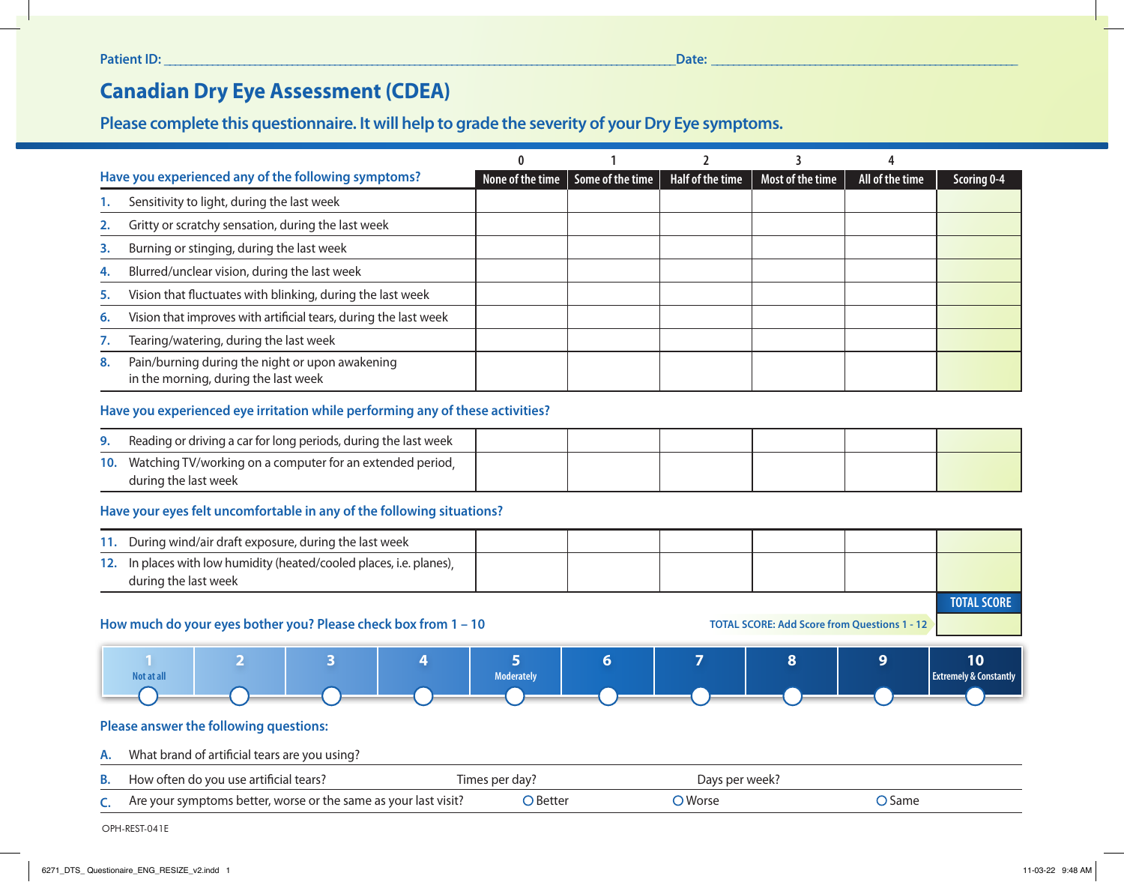# **Canadian Dry Eye Assessment (CDEA)**

# **Please complete this questionnaire. It will help to grade the severity of your Dry Eye symptoms.**

| Have you experienced any of the following symptoms? |                                                                                         | None of the time | Some of the time | <b>Half of the time</b> | Most of the time | All of the time | Scoring 0-4 |
|-----------------------------------------------------|-----------------------------------------------------------------------------------------|------------------|------------------|-------------------------|------------------|-----------------|-------------|
|                                                     | Sensitivity to light, during the last week                                              |                  |                  |                         |                  |                 |             |
| 2.                                                  | Gritty or scratchy sensation, during the last week                                      |                  |                  |                         |                  |                 |             |
| 3.                                                  | Burning or stinging, during the last week                                               |                  |                  |                         |                  |                 |             |
| 4.                                                  | Blurred/unclear vision, during the last week                                            |                  |                  |                         |                  |                 |             |
| 5.                                                  | Vision that fluctuates with blinking, during the last week                              |                  |                  |                         |                  |                 |             |
| 6.                                                  | Vision that improves with artificial tears, during the last week                        |                  |                  |                         |                  |                 |             |
|                                                     | Tearing/watering, during the last week                                                  |                  |                  |                         |                  |                 |             |
| 8.                                                  | Pain/burning during the night or upon awakening<br>in the morning, during the last week |                  |                  |                         |                  |                 |             |

## **Have you experienced eye irritation while performing any of these activities?**

| 9. Reading or driving a car for long periods, during the last week                    |  |  |  |
|---------------------------------------------------------------------------------------|--|--|--|
| 10. Watching TV/working on a computer for an extended period,<br>during the last week |  |  |  |

#### **Have your eyes felt uncomfortable in any of the following situations?**

|  | 11. During wind/air draft exposure, during the last week                                     |  |  |  |  |  |  |
|--|----------------------------------------------------------------------------------------------|--|--|--|--|--|--|
|  | 12. In places with low humidity (heated/cooled places, i.e. planes),<br>during the last week |  |  |  |  |  |  |
|  |                                                                                              |  |  |  |  |  |  |

#### **How much do your eyes bother you? Please check box from 1 – 10**

 **TOTAL SCORE: Add Score from Questions 1 - 12**



## **Please answer the following questions:**

# **A.** What brand of artificial tears are you using?

| <b>B.</b> How often do you use artificial tears?                | Times per dav? | Days per week? |               |
|-----------------------------------------------------------------|----------------|----------------|---------------|
| Are your symptoms better, worse or the same as your last visit? | ⊃ Better       | Worse          | <b>C</b> Same |